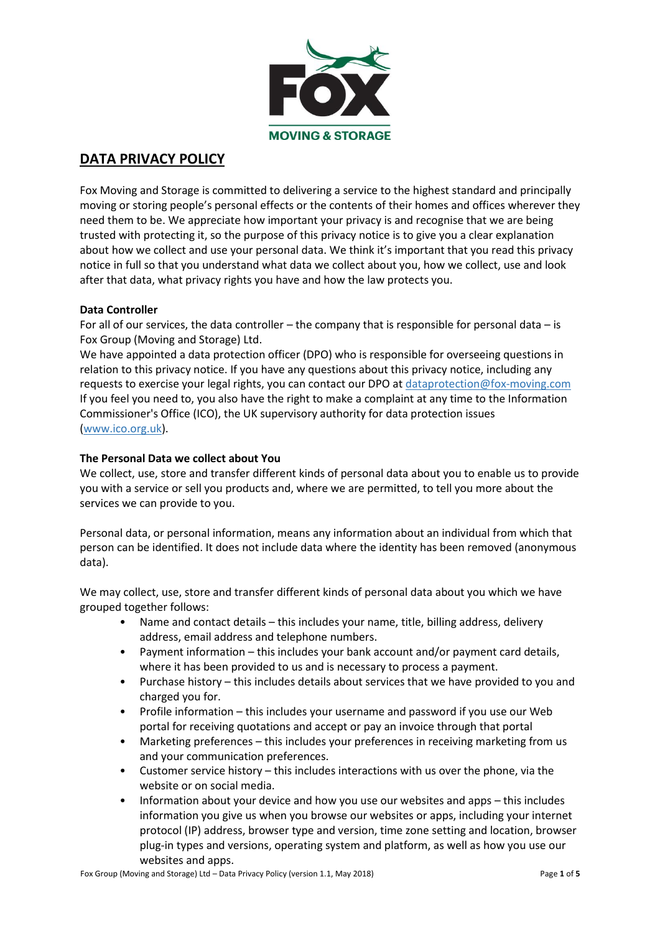

# **DATA PRIVACY POLICY**

Fox Moving and Storage is committed to delivering a service to the highest standard and principally moving or storing people's personal effects or the contents of their homes and offices wherever they need them to be. We appreciate how important your privacy is and recognise that we are being trusted with protecting it, so the purpose of this privacy notice is to give you a clear explanation about how we collect and use your personal data. We think it's important that you read this privacy notice in full so that you understand what data we collect about you, how we collect, use and look after that data, what privacy rights you have and how the law protects you.

# **Data Controller**

For all of our services, the data controller – the company that is responsible for personal data – is Fox Group (Moving and Storage) Ltd.

We have appointed a data protection officer (DPO) who is responsible for overseeing questions in relation to this privacy notice. If you have any questions about this privacy notice, including any requests to exercise your legal rights, you can contact our DPO at [dataprotection@fox-moving.com](mailto:dataprotection@fox-moving.com) If you feel you need to, you also have the right to make a complaint at any time to the Information Commissioner's Office (ICO), the UK supervisory authority for data protection issues [\(www.ico.org.uk\)](http://www.ico.org.uk/).

# **The Personal Data we collect about You**

We collect, use, store and transfer different kinds of personal data about you to enable us to provide you with a service or sell you products and, where we are permitted, to tell you more about the services we can provide to you.

Personal data, or personal information, means any information about an individual from which that person can be identified. It does not include data where the identity has been removed (anonymous data).

We may collect, use, store and transfer different kinds of personal data about you which we have grouped together follows:

- Name and contact details this includes your name, title, billing address, delivery address, email address and telephone numbers.
- Payment information this includes your bank account and/or payment card details, where it has been provided to us and is necessary to process a payment.
- Purchase history this includes details about services that we have provided to you and charged you for.
- Profile information this includes your username and password if you use our Web portal for receiving quotations and accept or pay an invoice through that portal
- Marketing preferences this includes your preferences in receiving marketing from us and your communication preferences.
- Customer service history this includes interactions with us over the phone, via the website or on social media.
- Information about your device and how you use our websites and apps this includes information you give us when you browse our websites or apps, including your internet protocol (IP) address, browser type and version, time zone setting and location, browser plug-in types and versions, operating system and platform, as well as how you use our websites and apps.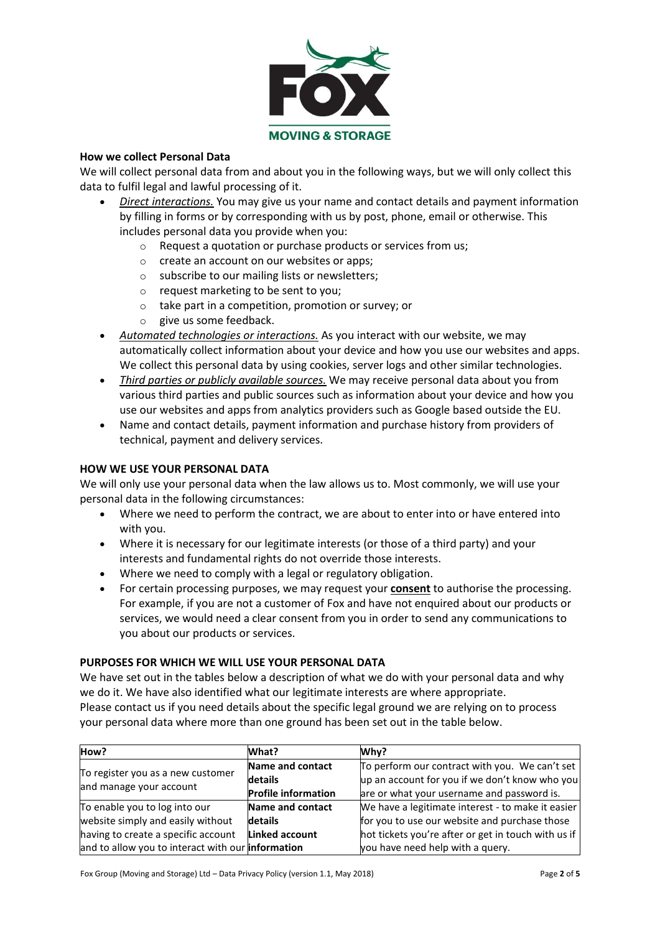

# **How we collect Personal Data**

We will collect personal data from and about you in the following ways, but we will only collect this data to fulfil legal and lawful processing of it.

- *Direct interactions.* You may give us your name and contact details and payment information by filling in forms or by corresponding with us by post, phone, email or otherwise. This includes personal data you provide when you:
	- o Request a quotation or purchase products or services from us;
	- o create an account on our websites or apps;
	- o subscribe to our mailing lists or newsletters;
	- o request marketing to be sent to you;
	- o take part in a competition, promotion or survey; or
	- o give us some feedback.
- *Automated technologies or interactions.* As you interact with our website, we may automatically collect information about your device and how you use our websites and apps. We collect this personal data by using cookies, server logs and other similar technologies.
- *Third parties or publicly available sources.* We may receive personal data about you from various third parties and public sources such as information about your device and how you use our websites and apps from analytics providers such as Google based outside the EU.
- Name and contact details, payment information and purchase history from providers of technical, payment and delivery services.

# **HOW WE USE YOUR PERSONAL DATA**

We will only use your personal data when the law allows us to. Most commonly, we will use your personal data in the following circumstances:

- Where we need to perform the contract, we are about to enter into or have entered into with you.
- Where it is necessary for our legitimate interests (or those of a third party) and your interests and fundamental rights do not override those interests.
- Where we need to comply with a legal or regulatory obligation.
- For certain processing purposes, we may request your **consent** to authorise the processing. For example, if you are not a customer of Fox and have not enquired about our products or services, we would need a clear consent from you in order to send any communications to you about our products or services.

# **PURPOSES FOR WHICH WE WILL USE YOUR PERSONAL DATA**

We have set out in the tables below a description of what we do with your personal data and why we do it. We have also identified what our legitimate interests are where appropriate. Please contact us if you need details about the specific legal ground we are relying on to process your personal data where more than one ground has been set out in the table below.

| How?                                                         | What?                      | Why?                                                |
|--------------------------------------------------------------|----------------------------|-----------------------------------------------------|
| To register you as a new customer<br>and manage your account | Name and contact           | To perform our contract with you. We can't set      |
|                                                              | details                    | up an account for you if we don't know who you      |
|                                                              | <b>Profile information</b> | are or what your username and password is.          |
| To enable you to log into our                                | Name and contact           | We have a legitimate interest - to make it easier   |
| website simply and easily without                            | details                    | for you to use our website and purchase those       |
| having to create a specific account                          | Linked account             | hot tickets you're after or get in touch with us if |
| and to allow you to interact with our information            |                            | you have need help with a query.                    |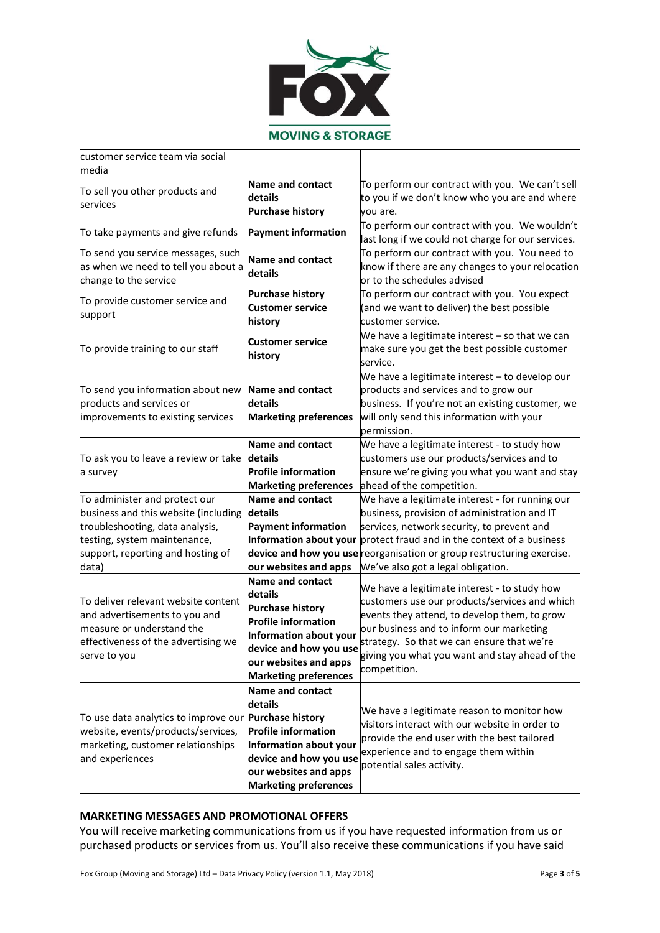

| customer service team via social<br>media                    |                              |                                                                        |
|--------------------------------------------------------------|------------------------------|------------------------------------------------------------------------|
|                                                              | Name and contact             | To perform our contract with you. We can't sell                        |
| To sell you other products and                               | details                      | to you if we don't know who you are and where                          |
| services                                                     | <b>Purchase history</b>      | vou are.                                                               |
|                                                              |                              | To perform our contract with you. We wouldn't                          |
| To take payments and give refunds                            | <b>Payment information</b>   | last long if we could not charge for our services.                     |
| To send you service messages, such                           |                              | To perform our contract with you. You need to                          |
| as when we need to tell you about a                          | <b>Name and contact</b>      | know if there are any changes to your relocation                       |
| change to the service                                        | details                      | or to the schedules advised                                            |
| To provide customer service and                              | <b>Purchase history</b>      | To perform our contract with you. You expect                           |
|                                                              | <b>Customer service</b>      | (and we want to deliver) the best possible                             |
| support                                                      | history                      | customer service.                                                      |
|                                                              |                              | We have a legitimate interest $-$ so that we can                       |
| To provide training to our staff                             | <b>Customer service</b>      | make sure you get the best possible customer                           |
|                                                              | history                      | service.                                                               |
|                                                              |                              | We have a legitimate interest - to develop our                         |
| To send you information about new                            | <b>Name and contact</b>      | products and services and to grow our                                  |
| products and services or                                     | details                      | business. If you're not an existing customer, we                       |
| improvements to existing services                            | <b>Marketing preferences</b> | will only send this information with your                              |
|                                                              |                              | permission.                                                            |
|                                                              | Name and contact             | We have a legitimate interest - to study how                           |
| To ask you to leave a review or take                         | details                      | customers use our products/services and to                             |
| a survey                                                     | <b>Profile information</b>   | ensure we're giving you what you want and stay                         |
|                                                              | <b>Marketing preferences</b> | ahead of the competition.                                              |
| To administer and protect our                                | Name and contact             | We have a legitimate interest - for running our                        |
| business and this website (including                         | details                      | business, provision of administration and IT                           |
| troubleshooting, data analysis,                              | <b>Payment information</b>   | services, network security, to prevent and                             |
| testing, system maintenance,                                 |                              | Information about your protect fraud and in the context of a business  |
| support, reporting and hosting of                            |                              | device and how you use reorganisation or group restructuring exercise. |
| data)                                                        | our websites and apps        | We've also got a legal obligation.                                     |
|                                                              | Name and contact             | We have a legitimate interest - to study how                           |
| To deliver relevant website content                          | details                      | customers use our products/services and which                          |
| and advertisements to you and                                | <b>Purchase history</b>      | events they attend, to develop them, to grow                           |
| measure or understand the                                    | <b>Profile information</b>   | our business and to inform our marketing                               |
| effectiveness of the advertising we                          | Information about your       | strategy. So that we can ensure that we're                             |
| serve to you                                                 | device and how you use       | giving you what you want and stay ahead of the                         |
|                                                              | our websites and apps        | competition.                                                           |
|                                                              | <b>Marketing preferences</b> |                                                                        |
|                                                              | Name and contact             |                                                                        |
|                                                              | details                      | We have a legitimate reason to monitor how                             |
| To use data analytics to improve our <b>Purchase history</b> |                              | visitors interact with our website in order to                         |
| website, events/products/services,                           | <b>Profile information</b>   | provide the end user with the best tailored                            |
| marketing, customer relationships                            | Information about your       | experience and to engage them within                                   |
| and experiences                                              | device and how you use       | potential sales activity.                                              |
|                                                              | our websites and apps        |                                                                        |
|                                                              | <b>Marketing preferences</b> |                                                                        |

# **MARKETING MESSAGES AND PROMOTIONAL OFFERS**

You will receive marketing communications from us if you have requested information from us or purchased products or services from us. You'll also receive these communications if you have said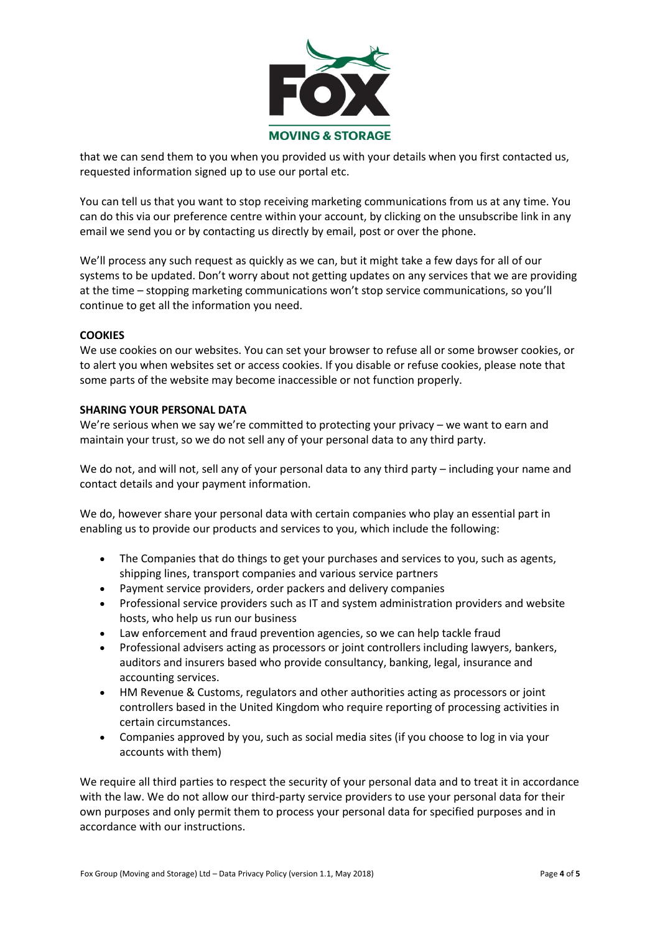

that we can send them to you when you provided us with your details when you first contacted us, requested information signed up to use our portal etc.

You can tell us that you want to stop receiving marketing communications from us at any time. You can do this via our preference centre within your account, by clicking on the unsubscribe link in any email we send you or by contacting us directly by email, post or over the phone.

We'll process any such request as quickly as we can, but it might take a few days for all of our systems to be updated. Don't worry about not getting updates on any services that we are providing at the time – stopping marketing communications won't stop service communications, so you'll continue to get all the information you need.

#### **COOKIES**

We use cookies on our websites. You can set your browser to refuse all or some browser cookies, or to alert you when websites set or access cookies. If you disable or refuse cookies, please note that some parts of the website may become inaccessible or not function properly.

#### **SHARING YOUR PERSONAL DATA**

We're serious when we say we're committed to protecting your privacy – we want to earn and maintain your trust, so we do not sell any of your personal data to any third party.

We do not, and will not, sell any of your personal data to any third party – including your name and contact details and your payment information.

We do, however share your personal data with certain companies who play an essential part in enabling us to provide our products and services to you, which include the following:

- The Companies that do things to get your purchases and services to you, such as agents, shipping lines, transport companies and various service partners
- Payment service providers, order packers and delivery companies
- Professional service providers such as IT and system administration providers and website hosts, who help us run our business
- Law enforcement and fraud prevention agencies, so we can help tackle fraud
- Professional advisers acting as processors or joint controllers including lawyers, bankers, auditors and insurers based who provide consultancy, banking, legal, insurance and accounting services.
- HM Revenue & Customs, regulators and other authorities acting as processors or joint controllers based in the United Kingdom who require reporting of processing activities in certain circumstances.
- Companies approved by you, such as social media sites (if you choose to log in via your accounts with them)

We require all third parties to respect the security of your personal data and to treat it in accordance with the law. We do not allow our third-party service providers to use your personal data for their own purposes and only permit them to process your personal data for specified purposes and in accordance with our instructions.